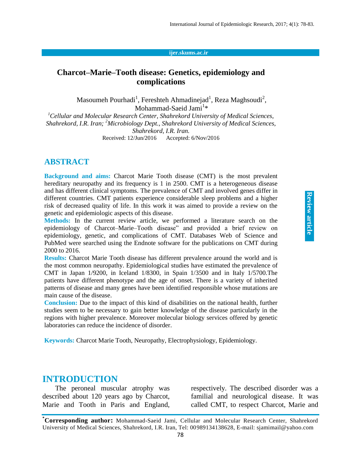#### **ijer.skums.ac.ir**

## **Charcot–Marie–Tooth disease: Genetics, epidemiology and complications**

Masoumeh Pourhadi $^1$ , Fereshteh Ahmadinejad $^1$ , Reza Maghsoudi $^2$ , Mohammad-Saeid Jami<sup>1</sup>\*

*<sup>1</sup>Cellular and Molecular Research Center, Shahrekord University of Medical Sciences, Shahrekord, I.R. Iran; <sup>2</sup>Microbiology Dept., Shahrekord University of Medical Sciences, Shahrekord, I.R. Iran.* Received: 12/Jun/2016 Accepted: 6/Nov/2016

#### **ABSTRACT**

**Background and aims:** Charcot Marie Tooth disease (CMT) is the most prevalent hereditary neuropathy and its frequency is 1 in 2500. CMT is a heterogeneous disease and has different clinical symptoms. The prevalence of CMT and involved genes differ in different countries. CMT patients experience considerable sleep problems and a higher risk of decreased quality of life. In this work it was aimed to provide a review on the genetic and epidemiologic aspects of this disease.

**Methods:** In the current review article, we performed a literature search on the epidemiology of Charcot–Marie–Tooth disease" and provided a brief review on epidemiology, genetic, and complications of CMT. Databases Web of Science and PubMed were searched using the Endnote software for the publications on CMT during 2000 to 2016.

**Results:** Charcot Marie Tooth disease has different prevalence around the world and is the most common neuropathy. Epidemiological studies have estimated the prevalence of CMT in Japan 1/9200, in Iceland 1/8300, in Spain 1/3500 and in Italy 1/5700.The patients have different phenotype and the age of onset. There is a variety of inherited patterns of disease and many genes have been identified responsible whose mutations are main cause of the disease.

**Conclusion:** Due to the impact of this kind of disabilities on the national health, further studies seem to be necessary to gain better knowledge of the disease particularly in the regions with higher prevalence. Moreover molecular biology services offered by genetic laboratories can reduce the incidence of disorder.

**Keywords:** Charcot Marie Tooth, Neuropathy, Electrophysiology, Epidemiology.

#### **INTRODUCTION**

The peroneal muscular atrophy was described about 120 years ago by Charcot, Marie and Tooth in Paris and England, respectively. The described disorder was a familial and neurological disease. It was called CMT, to respect Charcot, Marie and

**\*Corresponding author:** Mohammad-Saeid Jami, Cellular and Molecular Research Center, Shahrekord University of Medical Sciences, Shahrekord, I.R. Iran, Tel: 00989134138628, E-mail: sjamimail@yahoo.com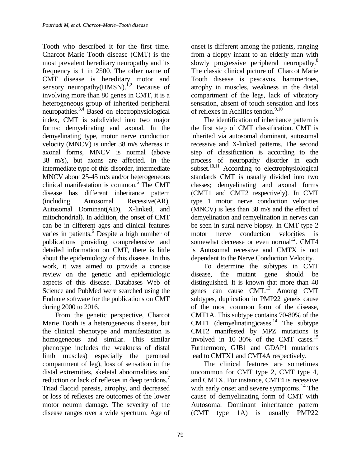Tooth who described it for the first time. Charcot Marie Tooth disease (CMT) is the most prevalent hereditary neuropathy and its frequency is 1 in 2500. The other name of CMT disease is hereditary motor and sensory neuropathy $(HMSN)$ .<sup>1,2</sup> Because of involving more than 80 genes in CMT, it is a heterogeneous group of inherited peripheral neuropathies.3,4 Based on electrophysiological index, CMT is subdivided into two major forms: demyelinating and axonal. In the demyelinating type, motor nerve conduction velocity (MNCV) is under 38 m/s whereas in axonal forms, MNCV is normal (above 38 m/s), but axons are affected. In the intermediate type of this disorder, intermediate MNCV about 25-45 m/s and/or heterogeneous clinical manifestation is common.<sup>5</sup> The CMT disease has different inheritance pattern (including Autosomal Recessive(AR), Autosomal Dominant(AD), X-linked, and mitochondrial). In addition, the onset of CMT can be in different ages and clinical features varies in patients.<sup>6</sup> Despite a high number of publications providing comprehensive and detailed information on CMT, there is little about the epidemiology of this disease. In this work, it was aimed to provide a concise review on the genetic and epidemiologic aspects of this disease. Databases Web of Science and PubMed were searched using the Endnote software for the publications on CMT during 2000 to 2016.

From the genetic perspective, Charcot Marie Tooth is a heterogeneous disease, but the clinical phenotype and manifestation is homogeneous and similar. This similar phenotype includes the weakness of distal limb muscles) especially the peroneal compartment of leg), loss of sensation in the distal extremities, skeletal abnormalities and reduction or lack of reflexes in deep tendons.<sup>7</sup> Triad flaccid paresis, atrophy, and decreased or loss of reflexes are outcomes of the lower motor neuron damage. The severity of the disease ranges over a wide spectrum. Age of

onset is different among the patients, ranging from a floppy infant to an elderly man with slowly progressive peripheral neuropathy.<sup>8</sup> The classic clinical picture of Charcot Marie Tooth disease is pescavus, hammertoes, atrophy in muscles, weakness in the distal compartment of the legs, lack of vibratory sensation, absent of touch sensation and loss of reflexes in Achilles tendon.<sup>9,10</sup>

The identification of inheritance pattern is the first step of CMT classification. CMT is inherited via autosomal dominant, autosomal recessive and X-linked patterns. The second step of classification is according to the process of neuropathy disorder in each subset. $^{10,11}$  According to electrophysiological standards CMT is usually divided into two classes; demyelinating and axonal forms (CMT1 and CMT2 respectively). In CMT type 1 motor nerve conduction velocities (MNCV) is less than 38 m/s and the effect of demyelination and remyelination in nerves can be seen in sural nerve biopsy. In CMT type 2 motor nerve conduction velocities is somewhat decrease or even normal<sup>12</sup>. CMT4 is Autosomal recessive and CMTX is not dependent to the Nerve Conduction Velocity.

To determine the subtypes in CMT disease, the mutant gene should be distinguished. It is known that more than 40 genes can cause CMT.<sup>13</sup> Among CMT subtypes, duplication in PMP22 geneis cause of the most common form of the disease, CMT1A. This subtype contains 70-80% of the CMT1 (demyelinating)cases.<sup>14</sup> The subtype CMT2 manifested by MPZ mutations is involved in 10–30% of the CMT cases.<sup>15</sup> Furthermore, GJB1 and GDAP1 mutations lead to CMTX1 and CMT4A respectively.

The clinical features are sometimes uncommon for CMT type 2, CMT type 4, and CMTX. For instance, CMT4 is recessive with early onset and severe symptoms.<sup>14</sup> The cause of demyelinating form of CMT with Autosomal Dominant inheritance pattern (CMT type 1A) is usually PMP22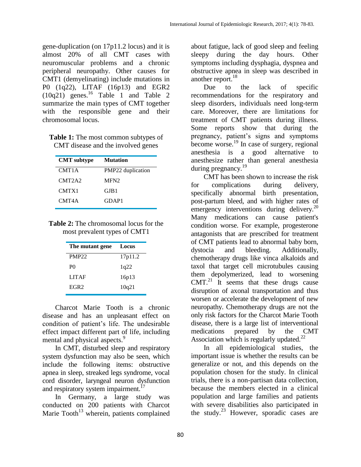gene-duplication (on 17p11.2 locus) and it is almost 20% of all CMT cases with neuromuscular problems and a chronic peripheral neuropathy. Other causes for CMT1 (demyelinating) include mutations in P0 (1q22), LITAF (16p13) and EGR2  $(10q21)$  genes.<sup>16</sup> Table 1 and Table 2 summarize the main types of CMT together with the responsible gene and their chromosomal locus.

**Table 1:** The most common subtypes of CMT disease and the involved genes

| <b>Mutation</b>   |
|-------------------|
| PMP22 duplication |
| MFN <sub>2</sub>  |
| GJB1              |
| GDAP1             |
|                   |

| <b>Table 2:</b> The chromosomal locus for the |  |
|-----------------------------------------------|--|
| most prevalent types of CMT1                  |  |

| The mutant gene  | Locus   |
|------------------|---------|
| PMP22            | 17p11.2 |
| P <sub>0</sub>   | 1q22    |
| <b>LITAF</b>     | 16p13   |
| EGR <sub>2</sub> | 10q21   |

Charcot Marie Tooth is a chronic disease and has an unpleasant effect on condition of patient's life. The undesirable effect impact different part of life, including mental and physical aspects.<sup>9</sup>

In CMT, disturbed sleep and respiratory system dysfunction may also be seen, which include the following items: obstructive apnea in sleep, streaked legs syndrome, vocal cord disorder, laryngeal neuron dysfunction and respiratory system impairment.<sup>17</sup>

In Germany, a large study was conducted on 200 patients with Charcot Marie Tooth $13$  wherein, patients complained about fatigue, lack of good sleep and feeling sleepy during the day hours. Other symptoms including dysphagia, dyspnea and obstructive apnea in sleep was described in another report.<sup>18</sup>

Due to the lack of specific recommendations for the respiratory and sleep disorders, individuals need long-term care. Moreover, there are limitations for treatment of CMT patients during illness. Some reports show that during the pregnancy, patient's signs and symptoms become worse.<sup>19</sup> In case of surgery, regional anesthesia is a good alternative to anesthesize rather than general anesthesia during pregnancy.<sup>19</sup>

CMT has been shown to increase the risk for complications during delivery, specifically abnormal birth presentation, post-partum bleed, and with higher rates of emergency interventions during delivery.<sup>20</sup> Many medications can cause patient's condition worse. For example, progesterone antagonists that are prescribed for treatment of CMT patients lead to abnormal baby born, dystocia and bleeding. Additionally, chemotherapy drugs like vinca alkaloids and taxol that target cell microtubules causing them depolymerized, lead to worsening  $CMT<sup>21</sup>$  It seems that these drugs cause disruption of axonal transportation and thus worsen or accelerate the development of new neuropathy. Chemotherapy drugs are not the only risk factors for the Charcot Marie Tooth disease, there is a large list of interventional medications prepared by the CMT Association which is regularly updated.<sup>22</sup>

In all epidemiological studies, the important issue is whether the results can be generalize or not, and this depends on the population chosen for the study. In clinical trials, there is a non-partisan data collection, because the members elected in a clinical population and large families and patients with severe disabilities also participated in the study. $^{23}$  However, sporadic cases are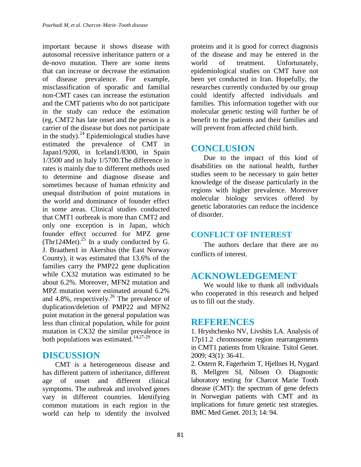important because it shows disease with autosomal recessive inheritance pattern or a de-novo mutation. There are some items that can increase or decrease the estimation of disease prevalence. For example, misclassification of sporadic and familial non-CMT cases can increase the estimation and the CMT patients who do not participate in the study can reduce the estimation (eg, CMT2 has late onset and the person is a carrier of the disease but does not participate in the study). $^{24}$  Epidemiological studies have estimated the prevalence of CMT in Japan1/9200, in Iceland1/8300, in Spain 1/3500 and in Italy 1/5700.The difference in rates is mainly due to different methods used to determine and diagnose disease and sometimes because of human ethnicity and unequal distribution of point mutations in the world and dominance of founder effect in some areas. Clinical studies conducted that CMT1 outbreak is more than CMT2 and only one exception is in Japan, which founder effect occurred for MPZ gene (Thr124Met).<sup>25</sup> In a study conducted by G. J. Braathen1 in Akershus (the East Norway County), it was estimated that 13.6% of the families carry the PMP22 gene duplication while CX32 mutation was estimated to be about 6.2%. Moreover, MFN2 mutation and MPZ mutation were estimated around 6.2% and 4.8%, respectively.<sup>26</sup> The prevalence of duplication/deletion of PMP22 and MFN2 point mutation in the general population was less than clinical population, while for point mutation in CX32 the similar prevalence in both populations was estimated.<sup>14,27-29</sup>

## **DISCUSSION**

CMT is a heterogeneous disease and has different pattern of inheritance, different age of onset and different clinical symptoms. The outbreak and involved genes vary in different countries. Identifying common mutations in each region in the world can help to identify the involved proteins and it is good for correct diagnosis of the disease and may be entered in the world of treatment. Unfortunately, epidemiological studies on CMT have not been yet conducted in Iran. Hopefully, the researches currently conducted by our group could identify affected individuals and families. This information together with our molecular genetic testing will further be of benefit to the patients and their families and will prevent from affected child birth.

# **CONCLUSION**

Due to the impact of this kind of disabilities on the national health, further studies seem to be necessary to gain better knowledge of the disease particularly in the regions with higher prevalence. Moreover molecular biology services offered by genetic laboratories can reduce the incidence of disorder.

### **CONFLICT OF INTEREST**

The authors declare that there are no conflicts of interest.

# **ACKNOWLEDGEMENT**

We would like to thank all individuals who cooperated in this research and helped us to fill out the study.

## **REFERENCES**

1. Hryshchenko NV, Livshits LA. Analysis of 17p11.2 chromosome region rearrangements in CMT1 patients from Ukraine. Tsitol Genet. 2009; 43(1): 36-41.

2. Ostern R, Fagerheim T, Hjellnes H, Nygard B, Mellgren SI, Nilssen O. Diagnostic laboratory testing for Charcot Marie Tooth disease (CMT): the spectrum of gene defects in Norwegian patients with CMT and its implications for future genetic test strategies. BMC Med Genet. 2013; 14: 94.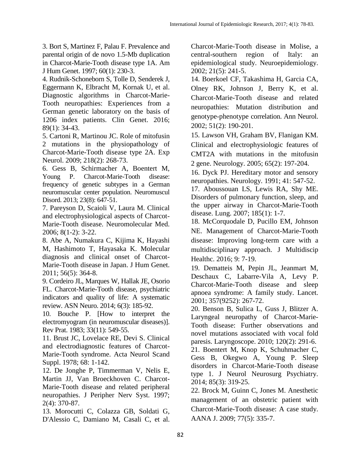3. Bort S, Martinez F, Palau F. Prevalence and parental origin of de novo 1.5-Mb duplication in Charcot-Marie-Tooth disease type 1A. Am J Hum Genet. 1997; 60(1): 230-3.

4. Rudnik-Schoneborn S, Tolle D, Senderek J, Eggermann K, Elbracht M, Kornak U, et al. Diagnostic algorithms in Charcot-Marie-Tooth neuropathies: Experiences from a German genetic laboratory on the basis of 1206 index patients. Clin Genet. 2016; 89(1): 34-43.

5. Cartoni R, Martinou JC. Role of mitofusin 2 mutations in the physiopathology of Charcot-Marie-Tooth disease type 2A. Exp Neurol. 2009; 218(2): 268-73.

6. Gess B, Schirmacher A, Boentert M, Young P. Charcot-Marie-Tooth disease: frequency of genetic subtypes in a German neuromuscular center population. Neuromuscul Disord. 2013; 23(8): 647-51.

7. Pareyson D, Scaioli V, Laura M. Clinical and electrophysiological aspects of Charcot-Marie-Tooth disease. Neuromolecular Med. 2006; 8(1-2): 3-22.

8. Abe A, Numakura C, Kijima K, Hayashi M, Hashimoto T, Hayasaka K. Molecular diagnosis and clinical onset of Charcot-Marie-Tooth disease in Japan. J Hum Genet. 2011; 56(5): 364-8.

9. Cordeiro JL, Marques W, Hallak JE, Osorio FL. Charcot-Marie-Tooth disease, psychiatric indicators and quality of life: A systematic review. ASN Neuro. 2014; 6(3): 185-92.

10. Bouche P. [How to interpret the electromyogram (in neuromuscular diseases)]. Rev Prat. 1983; 33(11): 549-55.

11. Brust JC, Lovelace RE, Devi S. Clinical and electrodiagnostic features of Charcot-Marie-Tooth syndrome. Acta Neurol Scand Suppl. 1978; 68: 1-142.

12. De Jonghe P, Timmerman V, Nelis E, Martin JJ, Van Broeckhoven C. Charcot-Marie-Tooth disease and related peripheral neuropathies. J Peripher Nerv Syst. 1997; 2(4): 370-87.

13. Morocutti C, Colazza GB, Soldati G, D'Alessio C, Damiano M, Casali C, et al. Charcot-Marie-Tooth disease in Molise, a central-southern region of Italy: an epidemiological study. Neuroepidemiology. 2002; 21(5): 241-5.

14. Boerkoel CF, Takashima H, Garcia CA, Olney RK, Johnson J, Berry K, et al. Charcot-Marie-Tooth disease and related neuropathies: Mutation distribution and genotype-phenotype correlation. Ann Neurol. 2002; 51(2): 190-201.

15. Lawson VH, Graham BV, Flanigan KM. Clinical and electrophysiologic features of CMT2A with mutations in the mitofusin 2 gene. Neurology. 2005; 65(2): 197-204.

16. Dyck PJ. Hereditary motor and sensory neuropathies. Neurology. 1991; 41: 547-52.

17. Aboussouan LS, Lewis RA, Shy ME. Disorders of pulmonary function, sleep, and the upper airway in Charcot-Marie-Tooth disease. Lung. 2007; 185(1): 1-7.

18. McCorquodale D, Pucillo EM, Johnson NE. Management of Charcot-Marie-Tooth disease: Improving long-term care with a multidisciplinary approach. J Multidiscip Healthc. 2016; 9: 7-19.

19. Dematteis M, Pepin JL, Jeanmart M, Deschaux C, Labarre-Vila A, Levy P. Charcot-Marie-Tooth disease and sleep apnoea syndrome: A family study. Lancet. 2001; 357(9252): 267-72.

20. Benson B, Sulica L, Guss J, Blitzer A. Laryngeal neuropathy of Charcot-Marie-Tooth disease: Further observations and novel mutations associated with vocal fold paresis. Laryngoscope. 2010; 120(2): 291-6. 21. Boentert M, Knop K, Schuhmacher C, Gess B, Okegwo A, Young P. Sleep disorders in Charcot-Marie-Tooth disease type 1. J Neurol Neurosurg Psychiatry. 2014; 85(3): 319-25.

22. Brock M, Guinn C, Jones M. Anesthetic management of an obstetric patient with Charcot-Marie-Tooth disease: A case study. AANA J. 2009; 77(5): 335-7.